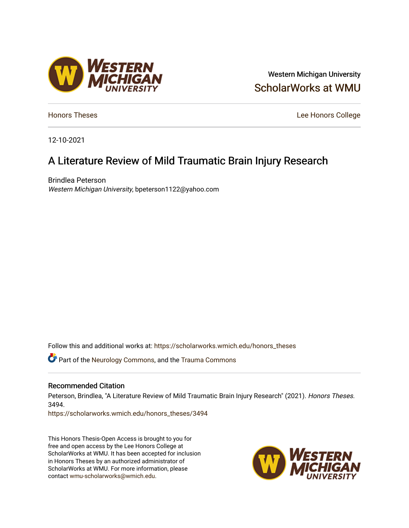# Western Michigan University [ScholarWorks at WMU](https://scholarworks.wmich.edu/)

**[Honors Theses](https://scholarworks.wmich.edu/honors_theses)** Lee Honors College

12-10-2021

# A Literature Review of Mild Traumatic Brain Injury Research

Brindlea Peterson Western Michigan University, bpeterson1122@yahoo.com

Follow this and additional works at: [https://scholarworks.wmich.edu/honors\\_theses](https://scholarworks.wmich.edu/honors_theses?utm_source=scholarworks.wmich.edu%2Fhonors_theses%2F3494&utm_medium=PDF&utm_campaign=PDFCoverPages)

**C** Part of the [Neurology Commons](http://network.bepress.com/hgg/discipline/692?utm_source=scholarworks.wmich.edu%2Fhonors_theses%2F3494&utm_medium=PDF&utm_campaign=PDFCoverPages), and the Trauma Commons

#### Recommended Citation

Peterson, Brindlea, "A Literature Review of Mild Traumatic Brain Injury Research" (2021). Honors Theses. 3494.

[https://scholarworks.wmich.edu/honors\\_theses/3494](https://scholarworks.wmich.edu/honors_theses/3494?utm_source=scholarworks.wmich.edu%2Fhonors_theses%2F3494&utm_medium=PDF&utm_campaign=PDFCoverPages) 

This Honors Thesis-Open Access is brought to you for free and open access by the Lee Honors College at ScholarWorks at WMU. It has been accepted for inclusion in Honors Theses by an authorized administrator of ScholarWorks at WMU. For more information, please contact [wmu-scholarworks@wmich.edu](mailto:wmu-scholarworks@wmich.edu).



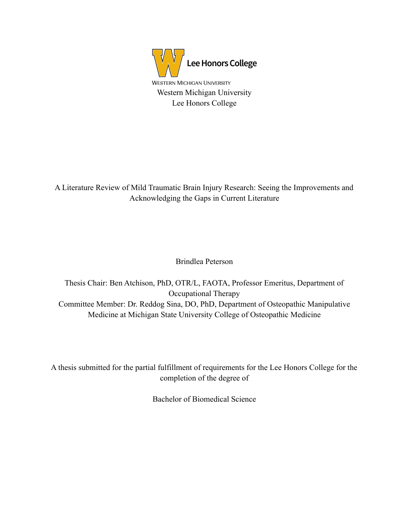

A Literature Review of Mild Traumatic Brain Injury Research: Seeing the Improvements and Acknowledging the Gaps in Current Literature

Brindlea Peterson

Thesis Chair: Ben Atchison, PhD, OTR/L, FAOTA, Professor Emeritus, Department of Occupational Therapy Committee Member: Dr. Reddog Sina, DO, PhD, Department of Osteopathic Manipulative Medicine at Michigan State University College of Osteopathic Medicine

A thesis submitted for the partial fulfillment of requirements for the Lee Honors College for the completion of the degree of

Bachelor of Biomedical Science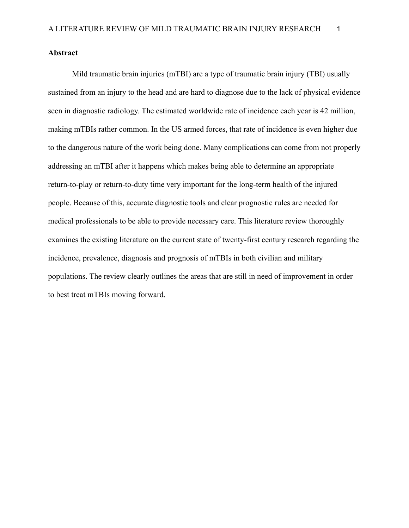# **Abstract**

Mild traumatic brain injuries (mTBI) are a type of traumatic brain injury (TBI) usually sustained from an injury to the head and are hard to diagnose due to the lack of physical evidence seen in diagnostic radiology. The estimated worldwide rate of incidence each year is 42 million, making mTBIs rather common. In the US armed forces, that rate of incidence is even higher due to the dangerous nature of the work being done. Many complications can come from not properly addressing an mTBI after it happens which makes being able to determine an appropriate return-to-play or return-to-duty time very important for the long-term health of the injured people. Because of this, accurate diagnostic tools and clear prognostic rules are needed for medical professionals to be able to provide necessary care. This literature review thoroughly examines the existing literature on the current state of twenty-first century research regarding the incidence, prevalence, diagnosis and prognosis of mTBIs in both civilian and military populations. The review clearly outlines the areas that are still in need of improvement in order to best treat mTBIs moving forward.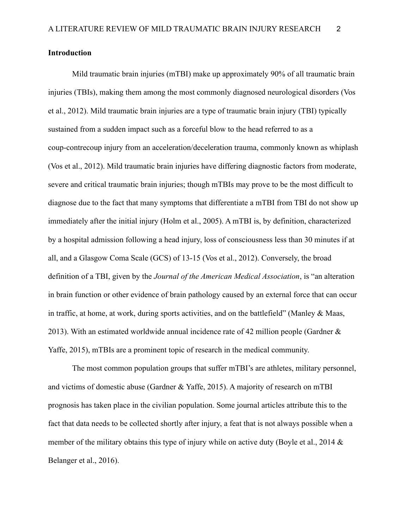# **Introduction**

Mild traumatic brain injuries (mTBI) make up approximately 90% of all traumatic brain injuries (TBIs), making them among the most commonly diagnosed neurological disorders (Vos et al., 2012). Mild traumatic brain injuries are a type of traumatic brain injury (TBI) typically sustained from a sudden impact such as a forceful blow to the head referred to as a coup-contrecoup injury from an acceleration/deceleration trauma, commonly known as whiplash (Vos et al., 2012). Mild traumatic brain injuries have differing diagnostic factors from moderate, severe and critical traumatic brain injuries; though mTBIs may prove to be the most difficult to diagnose due to the fact that many symptoms that differentiate a mTBI from TBI do not show up immediately after the initial injury (Holm et al., 2005). A mTBI is, by definition, characterized by a hospital admission following a head injury, loss of consciousness less than 30 minutes if at all, and a Glasgow Coma Scale (GCS) of 13-15 (Vos et al., 2012). Conversely, the broad definition of a TBI, given by the *Journal of the American Medical Association*, is "an alteration in brain function or other evidence of brain pathology caused by an external force that can occur in traffic, at home, at work, during sports activities, and on the battlefield" (Manley & Maas, 2013). With an estimated worldwide annual incidence rate of 42 million people (Gardner & Yaffe, 2015), mTBIs are a prominent topic of research in the medical community.

The most common population groups that suffer mTBI's are athletes, military personnel, and victims of domestic abuse (Gardner & Yaffe, 2015). A majority of research on mTBI prognosis has taken place in the civilian population. Some journal articles attribute this to the fact that data needs to be collected shortly after injury, a feat that is not always possible when a member of the military obtains this type of injury while on active duty (Boyle et al., 2014  $\&$ Belanger et al., 2016).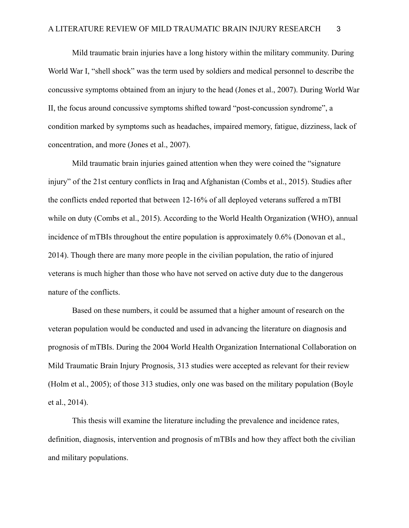Mild traumatic brain injuries have a long history within the military community. During World War I, "shell shock" was the term used by soldiers and medical personnel to describe the concussive symptoms obtained from an injury to the head (Jones et al., 2007). During World War II, the focus around concussive symptoms shifted toward "post-concussion syndrome", a condition marked by symptoms such as headaches, impaired memory, fatigue, dizziness, lack of concentration, and more (Jones et al., 2007).

Mild traumatic brain injuries gained attention when they were coined the "signature injury" of the 21st century conflicts in Iraq and Afghanistan (Combs et al., 2015). Studies after the conflicts ended reported that between 12-16% of all deployed veterans suffered a mTBI while on duty (Combs et al., 2015). According to the World Health Organization (WHO), annual incidence of mTBIs throughout the entire population is approximately 0.6% (Donovan et al., 2014). Though there are many more people in the civilian population, the ratio of injured veterans is much higher than those who have not served on active duty due to the dangerous nature of the conflicts.

Based on these numbers, it could be assumed that a higher amount of research on the veteran population would be conducted and used in advancing the literature on diagnosis and prognosis of mTBIs. During the 2004 World Health Organization International Collaboration on Mild Traumatic Brain Injury Prognosis, 313 studies were accepted as relevant for their review (Holm et al., 2005); of those 313 studies, only one was based on the military population (Boyle et al., 2014).

This thesis will examine the literature including the prevalence and incidence rates, definition, diagnosis, intervention and prognosis of mTBIs and how they affect both the civilian and military populations.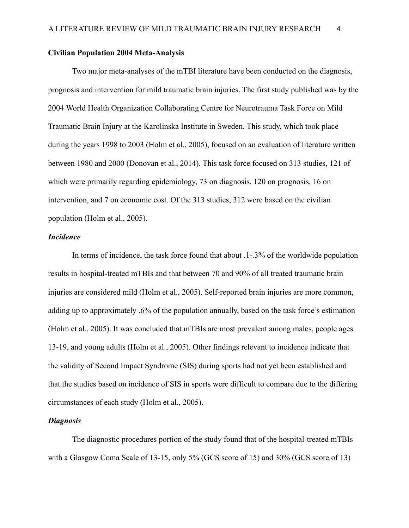# **Civilian Population 2004 Meta-Analysis**

Two major meta-analyses of the mTBI literature have been conducted on the diagnosis, prognosis and intervention for mild traumatic brain injuries. The first study published was by the 2004 World Health Organization Collaborating Centre for Neurotrauma Task Force on Mild Traumatic Brain Injury at the Karolinska Institute in Sweden. This study, which took place during the years 1998 to 2003 (Holm et al., 2005), focused on an evaluation of literature written between 1980 and 2000 (Donovan et al., 2014). This task force focused on 313 studies, 121 of which were primarily regarding epidemiology, 73 on diagnosis, 120 on prognosis, 16 on intervention, and 7 on economic cost. Of the 313 studies, 312 were based on the civilian population (Holm et al., 2005).

# *Incidence*

In terms of incidence, the task force found that about .1-.3% of the worldwide population results in hospital-treated mTBIs and that between 70 and 90% of all treated traumatic brain injuries are considered mild (Holm et al., 2005). Self-reported brain injuries are more common, adding up to approximately .6% of the population annually, based on the task force's estimation (Holm et al., 2005). It was concluded that mTBIs are most prevalent among males, people ages 13-19, and young adults (Holm et al., 2005). Other findings relevant to incidence indicate that the validity of Second Impact Syndrome (SIS) during sports had not yet been established and that the studies based on incidence of SIS in sports were difficult to compare due to the differing circumstances of each study (Holm et al., 2005).

# *Diagnosis*

The diagnostic procedures portion of the study found that of the hospital-treated mTBIs with a Glasgow Coma Scale of 13-15, only 5% (GCS score of 15) and 30% (GCS score of 13)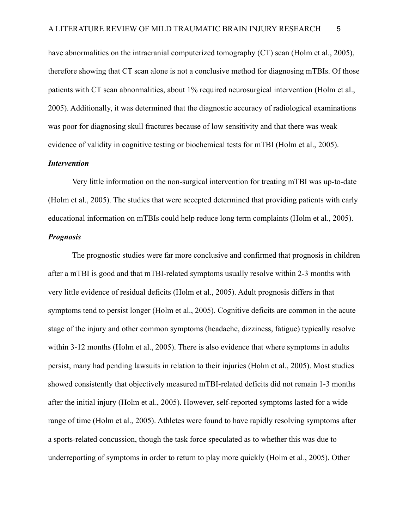have abnormalities on the intracranial computerized tomography (CT) scan (Holm et al., 2005), therefore showing that CT scan alone is not a conclusive method for diagnosing mTBIs. Of those patients with CT scan abnormalities, about 1% required neurosurgical intervention (Holm et al., 2005). Additionally, it was determined that the diagnostic accuracy of radiological examinations was poor for diagnosing skull fractures because of low sensitivity and that there was weak evidence of validity in cognitive testing or biochemical tests for mTBI (Holm et al., 2005).

# *Intervention*

Very little information on the non-surgical intervention for treating mTBI was up-to-date (Holm et al., 2005). The studies that were accepted determined that providing patients with early educational information on mTBIs could help reduce long term complaints (Holm et al., 2005).

# *Prognosis*

The prognostic studies were far more conclusive and confirmed that prognosis in children after a mTBI is good and that mTBI-related symptoms usually resolve within 2-3 months with very little evidence of residual deficits (Holm et al., 2005). Adult prognosis differs in that symptoms tend to persist longer (Holm et al., 2005). Cognitive deficits are common in the acute stage of the injury and other common symptoms (headache, dizziness, fatigue) typically resolve within 3-12 months (Holm et al., 2005). There is also evidence that where symptoms in adults persist, many had pending lawsuits in relation to their injuries (Holm et al., 2005). Most studies showed consistently that objectively measured mTBI-related deficits did not remain 1-3 months after the initial injury (Holm et al., 2005). However, self-reported symptoms lasted for a wide range of time (Holm et al., 2005). Athletes were found to have rapidly resolving symptoms after a sports-related concussion, though the task force speculated as to whether this was due to underreporting of symptoms in order to return to play more quickly (Holm et al., 2005). Other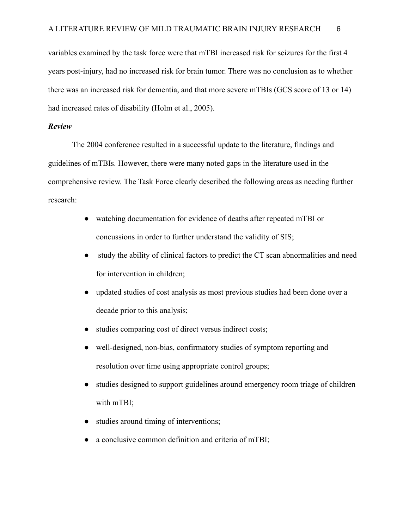variables examined by the task force were that mTBI increased risk for seizures for the first 4 years post-injury, had no increased risk for brain tumor. There was no conclusion as to whether there was an increased risk for dementia, and that more severe mTBIs (GCS score of 13 or 14) had increased rates of disability (Holm et al., 2005).

# *Review*

The 2004 conference resulted in a successful update to the literature, findings and guidelines of mTBIs. However, there were many noted gaps in the literature used in the comprehensive review. The Task Force clearly described the following areas as needing further research:

- watching documentation for evidence of deaths after repeated mTBI or concussions in order to further understand the validity of SIS;
- study the ability of clinical factors to predict the CT scan abnormalities and need for intervention in children;
- updated studies of cost analysis as most previous studies had been done over a decade prior to this analysis;
- studies comparing cost of direct versus indirect costs;
- well-designed, non-bias, confirmatory studies of symptom reporting and resolution over time using appropriate control groups;
- studies designed to support guidelines around emergency room triage of children with mTBI;
- studies around timing of interventions;
- a conclusive common definition and criteria of mTBI;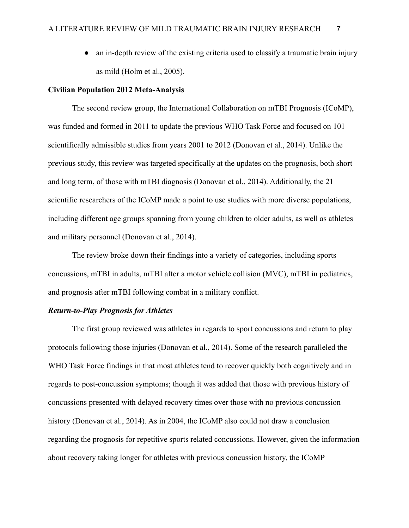• an in-depth review of the existing criteria used to classify a traumatic brain injury as mild (Holm et al., 2005).

# **Civilian Population 2012 Meta-Analysis**

The second review group, the International Collaboration on mTBI Prognosis (ICoMP), was funded and formed in 2011 to update the previous WHO Task Force and focused on 101 scientifically admissible studies from years 2001 to 2012 (Donovan et al., 2014). Unlike the previous study, this review was targeted specifically at the updates on the prognosis, both short and long term, of those with mTBI diagnosis (Donovan et al., 2014). Additionally, the 21 scientific researchers of the ICoMP made a point to use studies with more diverse populations, including different age groups spanning from young children to older adults, as well as athletes and military personnel (Donovan et al., 2014).

The review broke down their findings into a variety of categories, including sports concussions, mTBI in adults, mTBI after a motor vehicle collision (MVC), mTBI in pediatrics, and prognosis after mTBI following combat in a military conflict.

## *Return-to-Play Prognosis for Athletes*

The first group reviewed was athletes in regards to sport concussions and return to play protocols following those injuries (Donovan et al., 2014). Some of the research paralleled the WHO Task Force findings in that most athletes tend to recover quickly both cognitively and in regards to post-concussion symptoms; though it was added that those with previous history of concussions presented with delayed recovery times over those with no previous concussion history (Donovan et al., 2014). As in 2004, the ICoMP also could not draw a conclusion regarding the prognosis for repetitive sports related concussions. However, given the information about recovery taking longer for athletes with previous concussion history, the ICoMP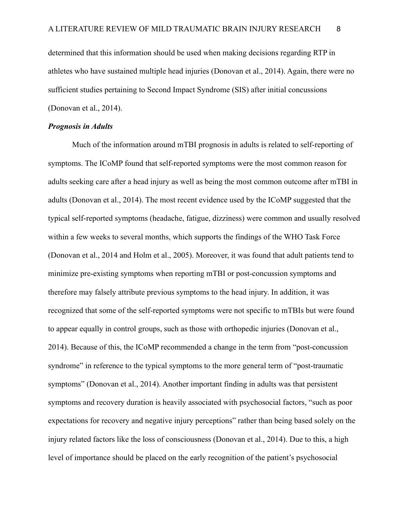determined that this information should be used when making decisions regarding RTP in athletes who have sustained multiple head injuries (Donovan et al., 2014). Again, there were no sufficient studies pertaining to Second Impact Syndrome (SIS) after initial concussions (Donovan et al., 2014).

# *Prognosis in Adults*

Much of the information around mTBI prognosis in adults is related to self-reporting of symptoms. The ICoMP found that self-reported symptoms were the most common reason for adults seeking care after a head injury as well as being the most common outcome after mTBI in adults (Donovan et al., 2014). The most recent evidence used by the ICoMP suggested that the typical self-reported symptoms (headache, fatigue, dizziness) were common and usually resolved within a few weeks to several months, which supports the findings of the WHO Task Force (Donovan et al., 2014 and Holm et al., 2005). Moreover, it was found that adult patients tend to minimize pre-existing symptoms when reporting mTBI or post-concussion symptoms and therefore may falsely attribute previous symptoms to the head injury. In addition, it was recognized that some of the self-reported symptoms were not specific to mTBIs but were found to appear equally in control groups, such as those with orthopedic injuries (Donovan et al., 2014). Because of this, the ICoMP recommended a change in the term from "post-concussion syndrome" in reference to the typical symptoms to the more general term of "post-traumatic symptoms" (Donovan et al., 2014). Another important finding in adults was that persistent symptoms and recovery duration is heavily associated with psychosocial factors, "such as poor expectations for recovery and negative injury perceptions" rather than being based solely on the injury related factors like the loss of consciousness (Donovan et al., 2014). Due to this, a high level of importance should be placed on the early recognition of the patient's psychosocial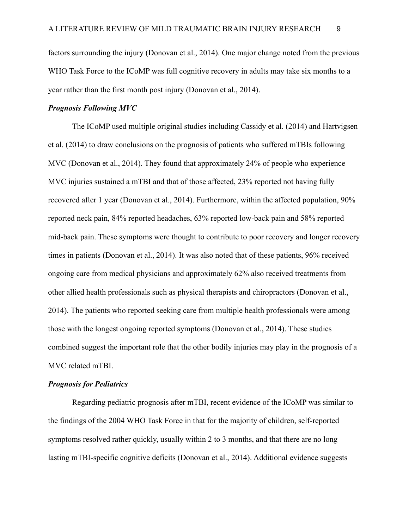factors surrounding the injury (Donovan et al., 2014). One major change noted from the previous WHO Task Force to the ICoMP was full cognitive recovery in adults may take six months to a year rather than the first month post injury (Donovan et al., 2014).

#### *Prognosis Following MVC*

The ICoMP used multiple original studies including Cassidy et al. (2014) and Hartvigsen et al. (2014) to draw conclusions on the prognosis of patients who suffered mTBIs following MVC (Donovan et al., 2014). They found that approximately 24% of people who experience MVC injuries sustained a mTBI and that of those affected, 23% reported not having fully recovered after 1 year (Donovan et al., 2014). Furthermore, within the affected population, 90% reported neck pain, 84% reported headaches, 63% reported low-back pain and 58% reported mid-back pain. These symptoms were thought to contribute to poor recovery and longer recovery times in patients (Donovan et al., 2014). It was also noted that of these patients, 96% received ongoing care from medical physicians and approximately 62% also received treatments from other allied health professionals such as physical therapists and chiropractors (Donovan et al., 2014). The patients who reported seeking care from multiple health professionals were among those with the longest ongoing reported symptoms (Donovan et al., 2014). These studies combined suggest the important role that the other bodily injuries may play in the prognosis of a MVC related mTBI.

# *Prognosis for Pediatrics*

Regarding pediatric prognosis after mTBI, recent evidence of the ICoMP was similar to the findings of the 2004 WHO Task Force in that for the majority of children, self-reported symptoms resolved rather quickly, usually within 2 to 3 months, and that there are no long lasting mTBI-specific cognitive deficits (Donovan et al., 2014). Additional evidence suggests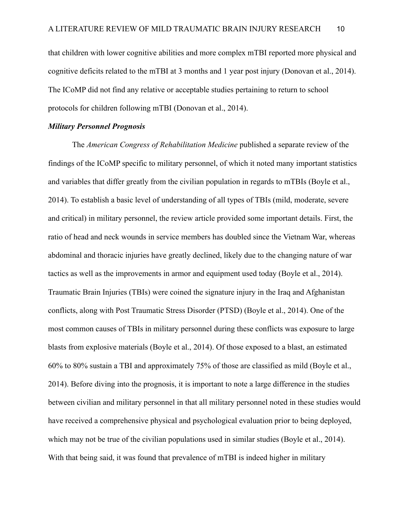that children with lower cognitive abilities and more complex mTBI reported more physical and cognitive deficits related to the mTBI at 3 months and 1 year post injury (Donovan et al., 2014). The ICoMP did not find any relative or acceptable studies pertaining to return to school protocols for children following mTBI (Donovan et al., 2014).

# *Military Personnel Prognosis*

The *American Congress of Rehabilitation Medicine* published a separate review of the findings of the ICoMP specific to military personnel, of which it noted many important statistics and variables that differ greatly from the civilian population in regards to mTBIs (Boyle et al., 2014). To establish a basic level of understanding of all types of TBIs (mild, moderate, severe and critical) in military personnel, the review article provided some important details. First, the ratio of head and neck wounds in service members has doubled since the Vietnam War, whereas abdominal and thoracic injuries have greatly declined, likely due to the changing nature of war tactics as well as the improvements in armor and equipment used today (Boyle et al., 2014). Traumatic Brain Injuries (TBIs) were coined the signature injury in the Iraq and Afghanistan conflicts, along with Post Traumatic Stress Disorder (PTSD) (Boyle et al., 2014). One of the most common causes of TBIs in military personnel during these conflicts was exposure to large blasts from explosive materials (Boyle et al., 2014). Of those exposed to a blast, an estimated 60% to 80% sustain a TBI and approximately 75% of those are classified as mild (Boyle et al., 2014). Before diving into the prognosis, it is important to note a large difference in the studies between civilian and military personnel in that all military personnel noted in these studies would have received a comprehensive physical and psychological evaluation prior to being deployed, which may not be true of the civilian populations used in similar studies (Boyle et al., 2014). With that being said, it was found that prevalence of mTBI is indeed higher in military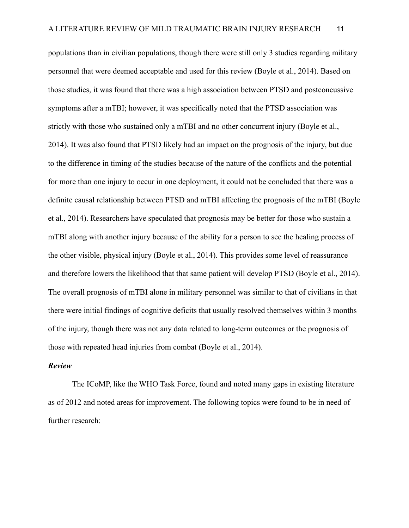populations than in civilian populations, though there were still only 3 studies regarding military personnel that were deemed acceptable and used for this review (Boyle et al., 2014). Based on those studies, it was found that there was a high association between PTSD and postconcussive symptoms after a mTBI; however, it was specifically noted that the PTSD association was strictly with those who sustained only a mTBI and no other concurrent injury (Boyle et al., 2014). It was also found that PTSD likely had an impact on the prognosis of the injury, but due to the difference in timing of the studies because of the nature of the conflicts and the potential for more than one injury to occur in one deployment, it could not be concluded that there was a definite causal relationship between PTSD and mTBI affecting the prognosis of the mTBI (Boyle et al., 2014). Researchers have speculated that prognosis may be better for those who sustain a mTBI along with another injury because of the ability for a person to see the healing process of the other visible, physical injury (Boyle et al., 2014). This provides some level of reassurance and therefore lowers the likelihood that that same patient will develop PTSD (Boyle et al., 2014). The overall prognosis of mTBI alone in military personnel was similar to that of civilians in that there were initial findings of cognitive deficits that usually resolved themselves within 3 months of the injury, though there was not any data related to long-term outcomes or the prognosis of those with repeated head injuries from combat (Boyle et al., 2014).

# *Review*

The ICoMP, like the WHO Task Force, found and noted many gaps in existing literature as of 2012 and noted areas for improvement. The following topics were found to be in need of further research: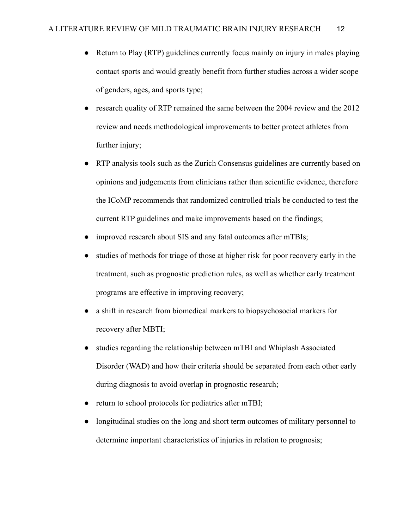- Return to Play (RTP) guidelines currently focus mainly on injury in males playing contact sports and would greatly benefit from further studies across a wider scope of genders, ages, and sports type;
- research quality of RTP remained the same between the 2004 review and the 2012 review and needs methodological improvements to better protect athletes from further injury;
- RTP analysis tools such as the Zurich Consensus guidelines are currently based on opinions and judgements from clinicians rather than scientific evidence, therefore the ICoMP recommends that randomized controlled trials be conducted to test the current RTP guidelines and make improvements based on the findings;
- improved research about SIS and any fatal outcomes after mTBIs;
- studies of methods for triage of those at higher risk for poor recovery early in the treatment, such as prognostic prediction rules, as well as whether early treatment programs are effective in improving recovery;
- a shift in research from biomedical markers to biopsychosocial markers for recovery after MBTI;
- studies regarding the relationship between mTBI and Whiplash Associated Disorder (WAD) and how their criteria should be separated from each other early during diagnosis to avoid overlap in prognostic research;
- return to school protocols for pediatrics after mTBI;
- longitudinal studies on the long and short term outcomes of military personnel to determine important characteristics of injuries in relation to prognosis;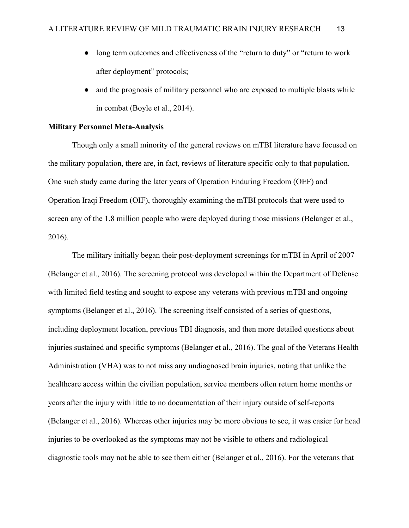- long term outcomes and effectiveness of the "return to duty" or "return to work" after deployment" protocols;
- and the prognosis of military personnel who are exposed to multiple blasts while in combat (Boyle et al., 2014).

# **Military Personnel Meta-Analysis**

Though only a small minority of the general reviews on mTBI literature have focused on the military population, there are, in fact, reviews of literature specific only to that population. One such study came during the later years of Operation Enduring Freedom (OEF) and Operation Iraqi Freedom (OIF), thoroughly examining the mTBI protocols that were used to screen any of the 1.8 million people who were deployed during those missions (Belanger et al., 2016).

The military initially began their post-deployment screenings for mTBI in April of 2007 (Belanger et al., 2016). The screening protocol was developed within the Department of Defense with limited field testing and sought to expose any veterans with previous mTBI and ongoing symptoms (Belanger et al., 2016). The screening itself consisted of a series of questions, including deployment location, previous TBI diagnosis, and then more detailed questions about injuries sustained and specific symptoms (Belanger et al., 2016). The goal of the Veterans Health Administration (VHA) was to not miss any undiagnosed brain injuries, noting that unlike the healthcare access within the civilian population, service members often return home months or years after the injury with little to no documentation of their injury outside of self-reports (Belanger et al., 2016). Whereas other injuries may be more obvious to see, it was easier for head injuries to be overlooked as the symptoms may not be visible to others and radiological diagnostic tools may not be able to see them either (Belanger et al., 2016). For the veterans that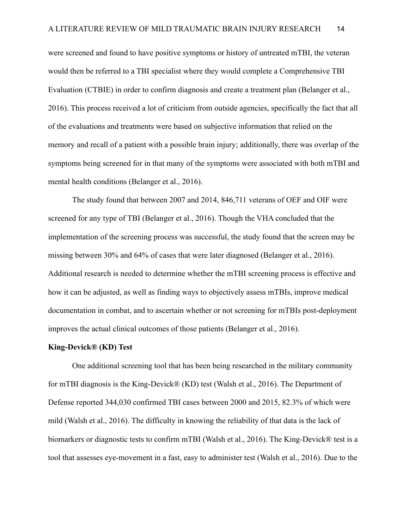were screened and found to have positive symptoms or history of untreated mTBI, the veteran would then be referred to a TBI specialist where they would complete a Comprehensive TBI Evaluation (CTBIE) in order to confirm diagnosis and create a treatment plan (Belanger et al., 2016). This process received a lot of criticism from outside agencies, specifically the fact that all of the evaluations and treatments were based on subjective information that relied on the memory and recall of a patient with a possible brain injury; additionally, there was overlap of the symptoms being screened for in that many of the symptoms were associated with both mTBI and mental health conditions (Belanger et al., 2016).

The study found that between 2007 and 2014, 846,711 veterans of OEF and OIF were screened for any type of TBI (Belanger et al., 2016). Though the VHA concluded that the implementation of the screening process was successful, the study found that the screen may be missing between 30% and 64% of cases that were later diagnosed (Belanger et al., 2016). Additional research is needed to determine whether the mTBI screening process is effective and how it can be adjusted, as well as finding ways to objectively assess mTBIs, improve medical documentation in combat, and to ascertain whether or not screening for mTBIs post-deployment improves the actual clinical outcomes of those patients (Belanger et al., 2016).

#### **King-Devick® (KD) Test**

One additional screening tool that has been being researched in the military community for mTBI diagnosis is the King-Devick® (KD) test (Walsh et al., 2016). The Department of Defense reported 344,030 confirmed TBI cases between 2000 and 2015, 82.3% of which were mild (Walsh et al., 2016). The difficulty in knowing the reliability of that data is the lack of biomarkers or diagnostic tests to confirm mTBI (Walsh et al., 2016). The King-Devick® test is a tool that assesses eye-movement in a fast, easy to administer test (Walsh et al., 2016). Due to the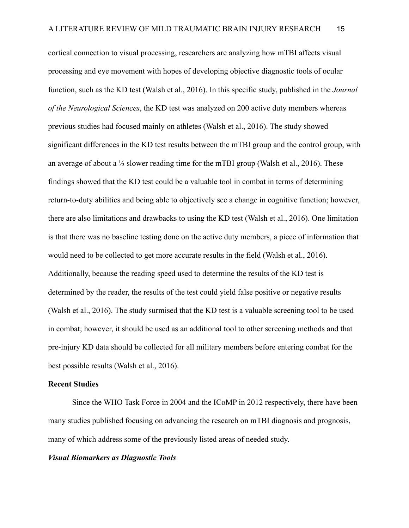cortical connection to visual processing, researchers are analyzing how mTBI affects visual processing and eye movement with hopes of developing objective diagnostic tools of ocular function, such as the KD test (Walsh et al., 2016). In this specific study, published in the *Journal of the Neurological Sciences*, the KD test was analyzed on 200 active duty members whereas previous studies had focused mainly on athletes (Walsh et al., 2016). The study showed significant differences in the KD test results between the mTBI group and the control group, with an average of about a ⅓ slower reading time for the mTBI group (Walsh et al., 2016). These findings showed that the KD test could be a valuable tool in combat in terms of determining return-to-duty abilities and being able to objectively see a change in cognitive function; however, there are also limitations and drawbacks to using the KD test (Walsh et al., 2016). One limitation is that there was no baseline testing done on the active duty members, a piece of information that would need to be collected to get more accurate results in the field (Walsh et al., 2016). Additionally, because the reading speed used to determine the results of the KD test is determined by the reader, the results of the test could yield false positive or negative results (Walsh et al., 2016). The study surmised that the KD test is a valuable screening tool to be used in combat; however, it should be used as an additional tool to other screening methods and that pre-injury KD data should be collected for all military members before entering combat for the best possible results (Walsh et al., 2016).

# **Recent Studies**

Since the WHO Task Force in 2004 and the ICoMP in 2012 respectively, there have been many studies published focusing on advancing the research on mTBI diagnosis and prognosis, many of which address some of the previously listed areas of needed study.

#### *Visual Biomarkers as Diagnostic Tools*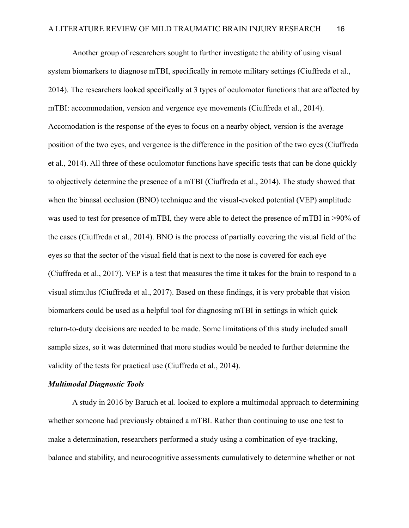Another group of researchers sought to further investigate the ability of using visual system biomarkers to diagnose mTBI, specifically in remote military settings (Ciuffreda et al., 2014). The researchers looked specifically at 3 types of oculomotor functions that are affected by mTBI: accommodation, version and vergence eye movements (Ciuffreda et al., 2014). Accomodation is the response of the eyes to focus on a nearby object, version is the average position of the two eyes, and vergence is the difference in the position of the two eyes (Ciuffreda et al., 2014). All three of these oculomotor functions have specific tests that can be done quickly to objectively determine the presence of a mTBI (Ciuffreda et al., 2014). The study showed that when the binasal occlusion (BNO) technique and the visual-evoked potential (VEP) amplitude was used to test for presence of mTBI, they were able to detect the presence of mTBI in >90% of the cases (Ciuffreda et al., 2014). BNO is the process of partially covering the visual field of the eyes so that the sector of the visual field that is next to the nose is covered for each eye (Ciuffreda et al., 2017). VEP is a test that measures the time it takes for the brain to respond to a visual stimulus (Ciuffreda et al., 2017). Based on these findings, it is very probable that vision biomarkers could be used as a helpful tool for diagnosing mTBI in settings in which quick return-to-duty decisions are needed to be made. Some limitations of this study included small sample sizes, so it was determined that more studies would be needed to further determine the validity of the tests for practical use (Ciuffreda et al., 2014).

## *Multimodal Diagnostic Tools*

A study in 2016 by Baruch et al. looked to explore a multimodal approach to determining whether someone had previously obtained a mTBI. Rather than continuing to use one test to make a determination, researchers performed a study using a combination of eye-tracking, balance and stability, and neurocognitive assessments cumulatively to determine whether or not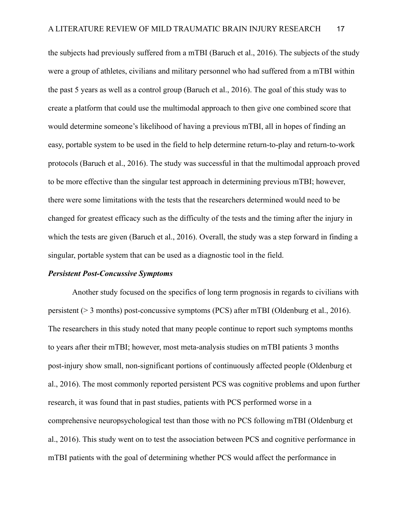the subjects had previously suffered from a mTBI (Baruch et al., 2016). The subjects of the study were a group of athletes, civilians and military personnel who had suffered from a mTBI within the past 5 years as well as a control group (Baruch et al., 2016). The goal of this study was to create a platform that could use the multimodal approach to then give one combined score that would determine someone's likelihood of having a previous mTBI, all in hopes of finding an easy, portable system to be used in the field to help determine return-to-play and return-to-work protocols (Baruch et al., 2016). The study was successful in that the multimodal approach proved to be more effective than the singular test approach in determining previous mTBI; however, there were some limitations with the tests that the researchers determined would need to be changed for greatest efficacy such as the difficulty of the tests and the timing after the injury in which the tests are given (Baruch et al., 2016). Overall, the study was a step forward in finding a singular, portable system that can be used as a diagnostic tool in the field.

#### *Persistent Post-Concussive Symptoms*

Another study focused on the specifics of long term prognosis in regards to civilians with persistent (> 3 months) post-concussive symptoms (PCS) after mTBI (Oldenburg et al., 2016). The researchers in this study noted that many people continue to report such symptoms months to years after their mTBI; however, most meta-analysis studies on mTBI patients 3 months post-injury show small, non-significant portions of continuously affected people (Oldenburg et al., 2016). The most commonly reported persistent PCS was cognitive problems and upon further research, it was found that in past studies, patients with PCS performed worse in a comprehensive neuropsychological test than those with no PCS following mTBI (Oldenburg et al., 2016). This study went on to test the association between PCS and cognitive performance in mTBI patients with the goal of determining whether PCS would affect the performance in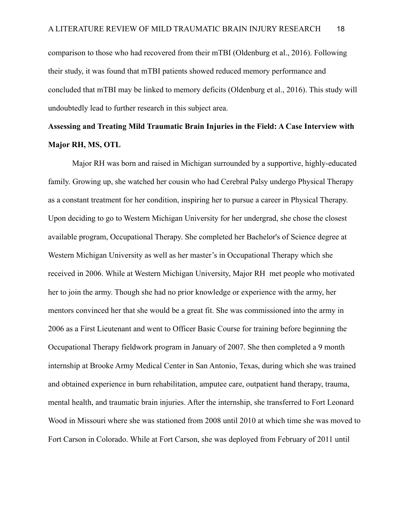comparison to those who had recovered from their mTBI (Oldenburg et al., 2016). Following their study, it was found that mTBI patients showed reduced memory performance and concluded that mTBI may be linked to memory deficits (Oldenburg et al., 2016). This study will undoubtedly lead to further research in this subject area.

# **Assessing and Treating Mild Traumatic Brain Injuries in the Field: A Case Interview with Major RH, MS, OTL**

Major RH was born and raised in Michigan surrounded by a supportive, highly-educated family. Growing up, she watched her cousin who had Cerebral Palsy undergo Physical Therapy as a constant treatment for her condition, inspiring her to pursue a career in Physical Therapy. Upon deciding to go to Western Michigan University for her undergrad, she chose the closest available program, Occupational Therapy. She completed her Bachelor's of Science degree at Western Michigan University as well as her master's in Occupational Therapy which she received in 2006. While at Western Michigan University, Major RH met people who motivated her to join the army. Though she had no prior knowledge or experience with the army, her mentors convinced her that she would be a great fit. She was commissioned into the army in 2006 as a First Lieutenant and went to Officer Basic Course for training before beginning the Occupational Therapy fieldwork program in January of 2007. She then completed a 9 month internship at Brooke Army Medical Center in San Antonio, Texas, during which she was trained and obtained experience in burn rehabilitation, amputee care, outpatient hand therapy, trauma, mental health, and traumatic brain injuries. After the internship, she transferred to Fort Leonard Wood in Missouri where she was stationed from 2008 until 2010 at which time she was moved to Fort Carson in Colorado. While at Fort Carson, she was deployed from February of 2011 until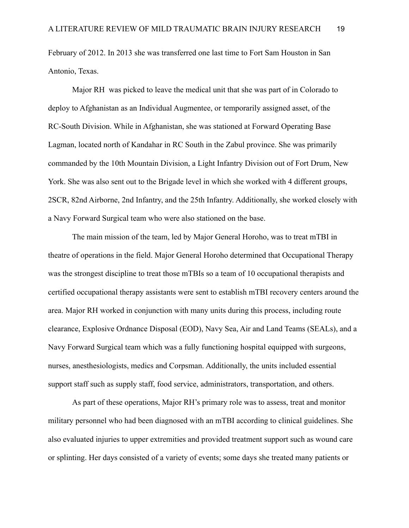February of 2012. In 2013 she was transferred one last time to Fort Sam Houston in San Antonio, Texas.

Major RH was picked to leave the medical unit that she was part of in Colorado to deploy to Afghanistan as an Individual Augmentee, or temporarily assigned asset, of the RC-South Division. While in Afghanistan, she was stationed at Forward Operating Base Lagman, located north of Kandahar in RC South in the Zabul province. She was primarily commanded by the 10th Mountain Division, a Light Infantry Division out of Fort Drum, New York. She was also sent out to the Brigade level in which she worked with 4 different groups, 2SCR, 82nd Airborne, 2nd Infantry, and the 25th Infantry. Additionally, she worked closely with a Navy Forward Surgical team who were also stationed on the base.

The main mission of the team, led by Major General Horoho, was to treat mTBI in theatre of operations in the field. Major General Horoho determined that Occupational Therapy was the strongest discipline to treat those mTBIs so a team of 10 occupational therapists and certified occupational therapy assistants were sent to establish mTBI recovery centers around the area. Major RH worked in conjunction with many units during this process, including route clearance, Explosive Ordnance Disposal (EOD), Navy Sea, Air and Land Teams (SEALs), and a Navy Forward Surgical team which was a fully functioning hospital equipped with surgeons, nurses, anesthesiologists, medics and Corpsman. Additionally, the units included essential support staff such as supply staff, food service, administrators, transportation, and others.

As part of these operations, Major RH's primary role was to assess, treat and monitor military personnel who had been diagnosed with an mTBI according to clinical guidelines. She also evaluated injuries to upper extremities and provided treatment support such as wound care or splinting. Her days consisted of a variety of events; some days she treated many patients or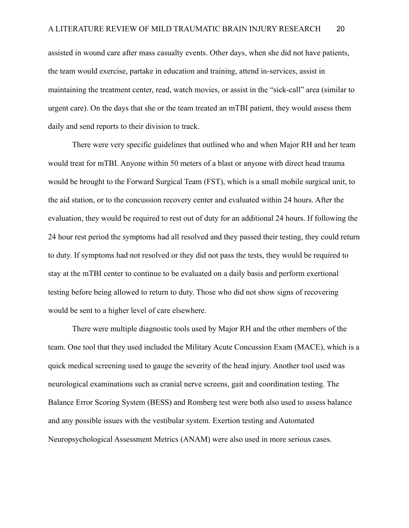assisted in wound care after mass casualty events. Other days, when she did not have patients, the team would exercise, partake in education and training, attend in-services, assist in maintaining the treatment center, read, watch movies, or assist in the "sick-call" area (similar to urgent care). On the days that she or the team treated an mTBI patient, they would assess them daily and send reports to their division to track.

There were very specific guidelines that outlined who and when Major RH and her team would treat for mTBI. Anyone within 50 meters of a blast or anyone with direct head trauma would be brought to the Forward Surgical Team (FST), which is a small mobile surgical unit, to the aid station, or to the concussion recovery center and evaluated within 24 hours. After the evaluation, they would be required to rest out of duty for an additional 24 hours. If following the 24 hour rest period the symptoms had all resolved and they passed their testing, they could return to duty. If symptoms had not resolved or they did not pass the tests, they would be required to stay at the mTBI center to continue to be evaluated on a daily basis and perform exertional testing before being allowed to return to duty. Those who did not show signs of recovering would be sent to a higher level of care elsewhere.

There were multiple diagnostic tools used by Major RH and the other members of the team. One tool that they used included the Military Acute Concussion Exam (MACE), which is a quick medical screening used to gauge the severity of the head injury. Another tool used was neurological examinations such as cranial nerve screens, gait and coordination testing. The Balance Error Scoring System (BESS) and Romberg test were both also used to assess balance and any possible issues with the vestibular system. Exertion testing and Automated Neuropsychological Assessment Metrics (ANAM) were also used in more serious cases.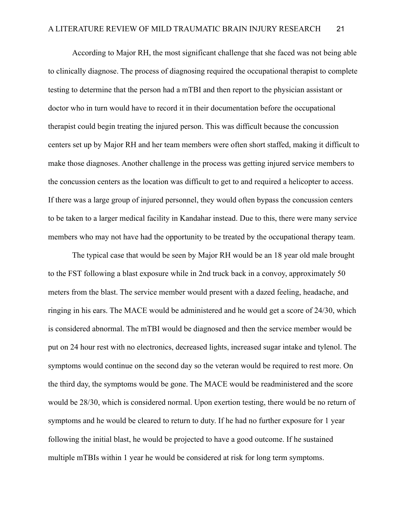According to Major RH, the most significant challenge that she faced was not being able to clinically diagnose. The process of diagnosing required the occupational therapist to complete testing to determine that the person had a mTBI and then report to the physician assistant or doctor who in turn would have to record it in their documentation before the occupational therapist could begin treating the injured person. This was difficult because the concussion centers set up by Major RH and her team members were often short staffed, making it difficult to make those diagnoses. Another challenge in the process was getting injured service members to the concussion centers as the location was difficult to get to and required a helicopter to access. If there was a large group of injured personnel, they would often bypass the concussion centers to be taken to a larger medical facility in Kandahar instead. Due to this, there were many service members who may not have had the opportunity to be treated by the occupational therapy team.

The typical case that would be seen by Major RH would be an 18 year old male brought to the FST following a blast exposure while in 2nd truck back in a convoy, approximately 50 meters from the blast. The service member would present with a dazed feeling, headache, and ringing in his ears. The MACE would be administered and he would get a score of 24/30, which is considered abnormal. The mTBI would be diagnosed and then the service member would be put on 24 hour rest with no electronics, decreased lights, increased sugar intake and tylenol. The symptoms would continue on the second day so the veteran would be required to rest more. On the third day, the symptoms would be gone. The MACE would be readministered and the score would be 28/30, which is considered normal. Upon exertion testing, there would be no return of symptoms and he would be cleared to return to duty. If he had no further exposure for 1 year following the initial blast, he would be projected to have a good outcome. If he sustained multiple mTBIs within 1 year he would be considered at risk for long term symptoms.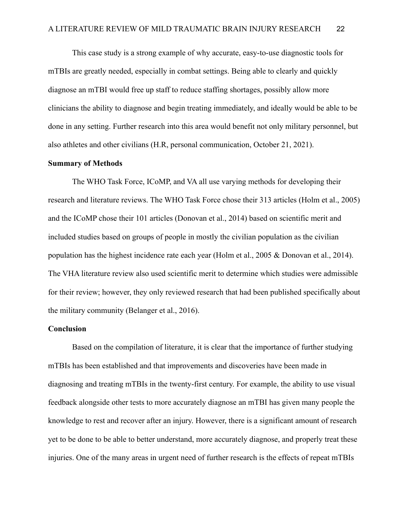This case study is a strong example of why accurate, easy-to-use diagnostic tools for mTBIs are greatly needed, especially in combat settings. Being able to clearly and quickly diagnose an mTBI would free up staff to reduce staffing shortages, possibly allow more clinicians the ability to diagnose and begin treating immediately, and ideally would be able to be done in any setting. Further research into this area would benefit not only military personnel, but also athletes and other civilians (H.R, personal communication, October 21, 2021).

# **Summary of Methods**

The WHO Task Force, ICoMP, and VA all use varying methods for developing their research and literature reviews. The WHO Task Force chose their 313 articles (Holm et al., 2005) and the ICoMP chose their 101 articles (Donovan et al., 2014) based on scientific merit and included studies based on groups of people in mostly the civilian population as the civilian population has the highest incidence rate each year (Holm et al., 2005 & Donovan et al., 2014). The VHA literature review also used scientific merit to determine which studies were admissible for their review; however, they only reviewed research that had been published specifically about the military community (Belanger et al., 2016).

# **Conclusion**

Based on the compilation of literature, it is clear that the importance of further studying mTBIs has been established and that improvements and discoveries have been made in diagnosing and treating mTBIs in the twenty-first century. For example, the ability to use visual feedback alongside other tests to more accurately diagnose an mTBI has given many people the knowledge to rest and recover after an injury. However, there is a significant amount of research yet to be done to be able to better understand, more accurately diagnose, and properly treat these injuries. One of the many areas in urgent need of further research is the effects of repeat mTBIs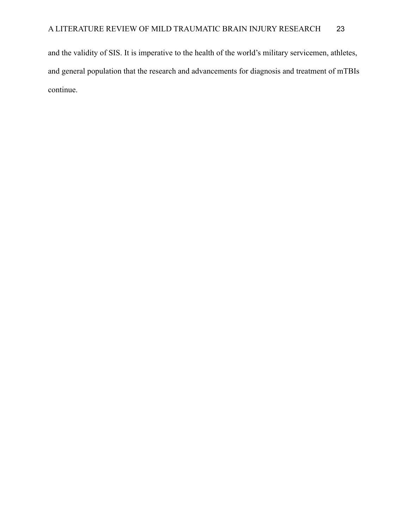and the validity of SIS. It is imperative to the health of the world's military servicemen, athletes, and general population that the research and advancements for diagnosis and treatment of mTBIs continue.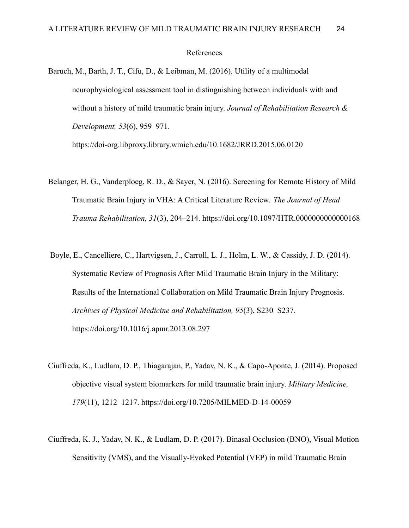#### References

Baruch, M., Barth, J. T., Cifu, D., & Leibman, M. (2016). Utility of a multimodal neurophysiological assessment tool in distinguishing between individuals with and without a history of mild traumatic brain injury. *Journal of Rehabilitation Research & Development, 53*(6), 959–971.

https://doi-org.libproxy.library.wmich.edu/10.1682/JRRD.2015.06.0120

- Belanger, H. G., Vanderploeg, R. D., & Sayer, N. (2016). Screening for Remote History of Mild Traumatic Brain Injury in VHA: A Critical Literature Review. *The Journal of Head Trauma Rehabilitation, 31*(3), 204–214. https://doi.org/10.1097/HTR.0000000000000168
- Boyle, E., Cancelliere, C., Hartvigsen, J., Carroll, L. J., Holm, L. W., & Cassidy, J. D. (2014). Systematic Review of Prognosis After Mild Traumatic Brain Injury in the Military: Results of the International Collaboration on Mild Traumatic Brain Injury Prognosis. *Archives of Physical Medicine and Rehabilitation, 95*(3), S230–S237. https://doi.org/10.1016/j.apmr.2013.08.297
- Ciuffreda, K., Ludlam, D. P., Thiagarajan, P., Yadav, N. K., & Capo-Aponte, J. (2014). Proposed objective visual system biomarkers for mild traumatic brain injury. *Military Medicine, 179*(11), 1212–1217. https://doi.org/10.7205/MILMED-D-14-00059
- Ciuffreda, K. J., Yadav, N. K., & Ludlam, D. P. (2017). Binasal Occlusion (BNO), Visual Motion Sensitivity (VMS), and the Visually-Evoked Potential (VEP) in mild Traumatic Brain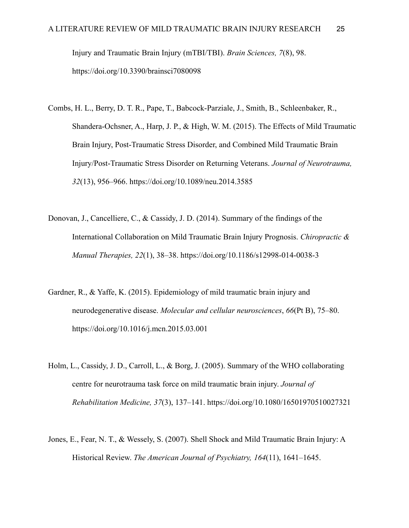Injury and Traumatic Brain Injury (mTBI/TBI). *Brain Sciences, 7*(8), 98. https://doi.org/10.3390/brainsci7080098

- Combs, H. L., Berry, D. T. R., Pape, T., Babcock-Parziale, J., Smith, B., Schleenbaker, R., Shandera-Ochsner, A., Harp, J. P., & High, W. M. (2015). The Effects of Mild Traumatic Brain Injury, Post-Traumatic Stress Disorder, and Combined Mild Traumatic Brain Injury/Post-Traumatic Stress Disorder on Returning Veterans. *Journal of Neurotrauma, 32*(13), 956–966. https://doi.org/10.1089/neu.2014.3585
- Donovan, J., Cancelliere, C., & Cassidy, J. D. (2014). Summary of the findings of the International Collaboration on Mild Traumatic Brain Injury Prognosis. *Chiropractic & Manual Therapies, 22*(1), 38–38. https://doi.org/10.1186/s12998-014-0038-3
- Gardner, R., & Yaffe, K. (2015). Epidemiology of mild traumatic brain injury and neurodegenerative disease. *Molecular and cellular neurosciences*, *66*(Pt B), 75–80. https://doi.org/10.1016/j.mcn.2015.03.001
- Holm, L., Cassidy, J. D., Carroll, L., & Borg, J. (2005). Summary of the WHO collaborating centre for neurotrauma task force on mild traumatic brain injury. *Journal of Rehabilitation Medicine, 37*(3), 137–141. https://doi.org/10.1080/16501970510027321
- Jones, E., Fear, N. T., & Wessely, S. (2007). Shell Shock and Mild Traumatic Brain Injury: A Historical Review. *The American Journal of Psychiatry, 164*(11), 1641–1645.